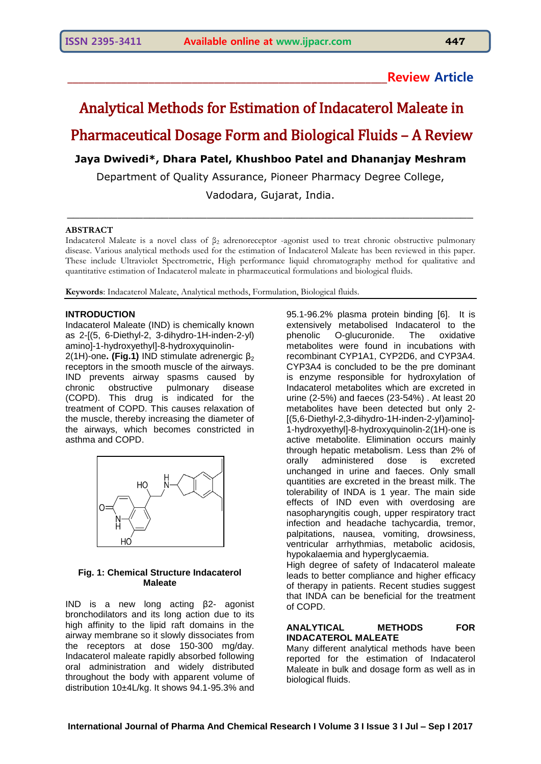# **\_\_\_\_\_\_\_\_\_\_\_\_\_\_\_\_\_\_\_\_\_\_\_\_\_\_\_\_\_\_\_\_\_\_\_\_\_\_\_\_\_\_\_\_\_\_\_\_\_\_\_\_\_\_\_\_\_\_\_Review Article**

# Analytical Methods for Estimation of Indacaterol Maleate in

# Pharmaceutical Dosage Form and Biological Fluids – A Review

# **Jaya Dwivedi\*, Dhara Patel, Khushboo Patel and Dhananjay Meshram**

Department of Quality Assurance, Pioneer Pharmacy Degree College, Vadodara, Gujarat, India.

\_\_\_\_\_\_\_\_\_\_\_\_\_\_\_\_\_\_\_\_\_\_\_\_\_\_\_\_\_\_\_\_\_\_\_\_\_\_\_\_\_\_\_\_\_\_\_\_\_\_\_\_\_\_\_\_\_\_\_\_\_\_\_\_

#### **ABSTRACT**

Indacaterol Maleate is a novel class of β<sup>2</sup> adrenoreceptor -agonist used to treat chronic obstructive pulmonary disease. Various analytical methods used for the estimation of Indacaterol Maleate has been reviewed in this paper. These include Ultraviolet Spectrometric, High performance liquid chromatography method for qualitative and quantitative estimation of Indacaterol maleate in pharmaceutical formulations and biological fluids.

**Keywords**: Indacaterol Maleate, Analytical methods, Formulation, Biological fluids.

#### **INTRODUCTION**

Indacaterol Maleate (IND) is chemically known as 2-[(5, 6-Diethyl-2, 3-dihydro-1H-inden-2-yl) amino]-1-hydroxyethyl]-8-hydroxyquinolin-2(1H)-one. **(Fig.1)** IND stimulate adrenergic β<sub>2</sub> receptors in the smooth muscle of the airways. IND prevents airway spasms caused by chronic obstructive pulmonary disease (COPD). This drug is indicated for the treatment of COPD. This causes relaxation of the muscle, thereby increasing the diameter of the airways, which becomes constricted in asthma and COPD.



#### **Fig. 1: Chemical Structure Indacaterol Maleate**

IND is a new long acting β2- agonist bronchodilators and its long action due to its high affinity to the lipid raft domains in the airway membrane so it slowly dissociates from the receptors at dose 150-300 mg/day. Indacaterol maleate rapidly absorbed following oral administration and widely distributed throughout the body with apparent volume of distribution 10±4L/kg. It shows 94.1-95.3% and

95.1-96.2% plasma protein binding [6]. It is extensively metabolised Indacaterol to the phenolic O-glucuronide. The oxidative metabolites were found in incubations with recombinant CYP1A1, CYP2D6, and CYP3A4. CYP3A4 is concluded to be the pre dominant is enzyme responsible for hydroxylation of Indacaterol metabolites which are excreted in urine (2-5%) and faeces (23-54%) . At least 20 metabolites have been detected but only 2- [(5,6-Diethyl-2,3-dihydro-1H-inden-2-yl)amino]- 1-hydroxyethyl]-8-hydroxyquinolin-2(1H)-one is active metabolite. Elimination occurs mainly through hepatic metabolism. Less than 2% of orally administered dose is excreted unchanged in urine and faeces. Only small quantities are excreted in the breast milk. The tolerability of INDA is 1 year. The main side effects of IND even with overdosing are nasopharyngitis cough, upper respiratory tract infection and headache tachycardia, tremor, palpitations, nausea, vomiting, drowsiness, ventricular arrhythmias, metabolic acidosis, hypokalaemia and hyperglycaemia. High degree of safety of Indacaterol maleate leads to better compliance and higher efficacy of therapy in patients. Recent studies suggest that INDA can be beneficial for the treatment

#### **ANALYTICAL METHODS FOR INDACATEROL MALEATE**

Many different analytical methods have been reported for the estimation of Indacaterol Maleate in bulk and dosage form as well as in biological fluids.

of COPD.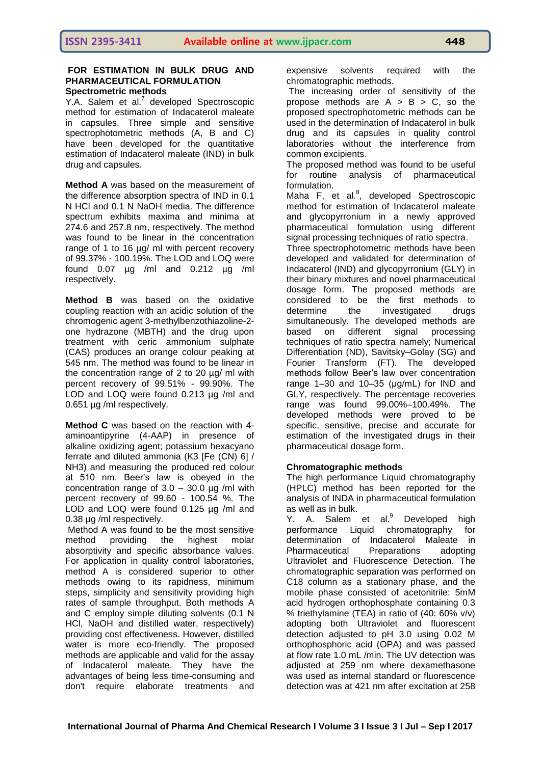#### **FOR ESTIMATION IN BULK DRUG AND PHARMACEUTICAL FORMULATION Spectrometric methods**

Y.A. Salem et al.<sup>7</sup> developed Spectroscopic method for estimation of Indacaterol maleate in capsules. Three simple and sensitive spectrophotometric methods (A, B and C) have been developed for the quantitative estimation of Indacaterol maleate (IND) in bulk drug and capsules.

**Method A** was based on the measurement of the difference absorption spectra of IND in 0.1 N HCl and 0.1 N NaOH media. The difference spectrum exhibits maxima and minima at 274.6 and 257.8 nm, respectively. The method was found to be linear in the concentration range of 1 to 16 µg/ ml with percent recovery of 99.37% - 100.19%. The LOD and LOQ were found 0.07 µg /ml and 0.212 µg /ml respectively.

**Method B** was based on the oxidative coupling reaction with an acidic solution of the chromogenic agent 3-methylbenzothiazoline-2 one hydrazone (MBTH) and the drug upon treatment with ceric ammonium sulphate (CAS) produces an orange colour peaking at 545 nm. The method was found to be linear in the concentration range of 2 to 20 µg/ ml with percent recovery of 99.51% - 99.90%. The LOD and LOQ were found 0.213 µg /ml and 0.651 µg /ml respectively.

**Method C** was based on the reaction with 4 aminoantipyrine (4-AAP) in presence of alkaline oxidizing agent; potassium hexacyano ferrate and diluted ammonia (K3 [Fe (CN) 6] / NH3) and measuring the produced red colour at 510 nm. Beer's law is obeyed in the concentration range of 3.0 – 30.0 µg /ml with percent recovery of 99.60 - 100.54 %. The LOD and LOQ were found 0.125 µg /ml and 0.38 µg /ml respectively.

Method A was found to be the most sensitive method providing the highest molar absorptivity and specific absorbance values. For application in quality control laboratories, method A is considered superior to other methods owing to its rapidness, minimum steps, simplicity and sensitivity providing high rates of sample throughput. Both methods A and C employ simple diluting solvents (0.1 N HCl, NaOH and distilled water, respectively) providing cost effectiveness. However, distilled water is more eco-friendly. The proposed methods are applicable and valid for the assay of Indacaterol maleate. They have the advantages of being less time-consuming and don't require elaborate treatments and expensive solvents required with the chromatographic methods.

The increasing order of sensitivity of the propose methods are  $A > B > C$ , so the proposed spectrophotometric methods can be used in the determination of Indacaterol in bulk drug and its capsules in quality control laboratories without the interference from common excipients.

The proposed method was found to be useful for routine analysis of pharmaceutical formulation.

Maha F, et al.<sup>8</sup>, developed Spectroscopic method for estimation of Indacaterol maleate and glycopyrronium in a newly approved pharmaceutical formulation using different signal processing techniques of ratio spectra.

Three spectrophotometric methods have been developed and validated for determination of Indacaterol (IND) and glycopyrronium (GLY) in their binary mixtures and novel pharmaceutical dosage form. The proposed methods are considered to be the first methods to determine the investigated drugs simultaneously. The developed methods are based on different signal processing techniques of ratio spectra namely; Numerical Differentiation (ND), Savitsky–Golay (SG) and Fourier Transform (FT). The developed methods follow Beer's law over concentration range 1–30 and 10–35 (μg/mL) for IND and GLY, respectively. The percentage recoveries range was found 99.00%–100.49%. The developed methods were proved to be specific, sensitive, precise and accurate for estimation of the investigated drugs in their pharmaceutical dosage form.

#### **Chromatographic methods**

The high performance Liquid chromatography (HPLC) method has been reported for the analysis of INDA in pharmaceutical formulation as well as in bulk.

Y. A. Salem et al.<sup>9</sup> Developed high performance Liquid chromatography for determination of Indacaterol Maleate in Pharmaceutical Preparations adopting Ultraviolet and Fluorescence Detection. The chromatographic separation was performed on C18 column as a stationary phase, and the mobile phase consisted of acetonitrile: 5mM acid hydrogen orthophosphate containing 0.3 % triethylamine (TEA) in ratio of (40: 60% v/v) adopting both Ultraviolet and fluorescent detection adjusted to pH 3.0 using 0.02 M orthophosphoric acid (OPA) and was passed at flow rate 1.0 mL /min. The UV detection was adjusted at 259 nm where dexamethasone was used as internal standard or fluorescence detection was at 421 nm after excitation at 258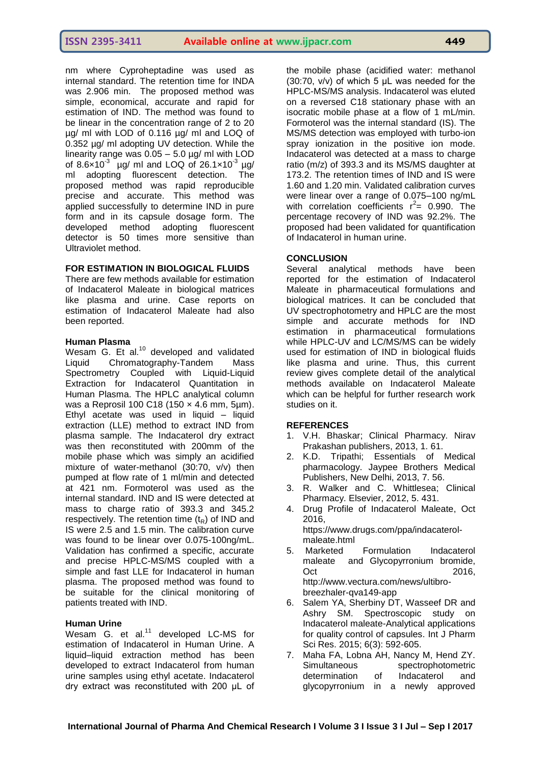nm where Cyproheptadine was used as internal standard. The retention time for INDA was 2.906 min. The proposed method was simple, economical, accurate and rapid for estimation of IND. The method was found to be linear in the concentration range of 2 to 20 µg/ ml with LOD of 0.116 µg/ ml and LOQ of 0.352 µg/ ml adopting UV detection. While the linearity range was 0.05 – 5.0 µg/ ml with LOD of 8.6 $\times$ 10<sup>-3</sup> µg/ ml and LOQ of 26.1 $\times$ 10<sup>-3</sup> µg/ ml adopting fluorescent detection. The proposed method was rapid reproducible precise and accurate. This method was applied successfully to determine IND in pure form and in its capsule dosage form. The developed method adopting fluorescent detector is 50 times more sensitive than Ultraviolet method.

# **FOR ESTIMATION IN BIOLOGICAL FLUIDS**

There are few methods available for estimation of Indacaterol Maleate in biological matrices like plasma and urine. Case reports on estimation of Indacaterol Maleate had also been reported.

### **Human Plasma**

Wesam G. Et al.<sup>10</sup> developed and validated Liquid Chromatography-Tandem Mass Spectrometry Coupled with Liquid-Liquid Extraction for Indacaterol Quantitation in Human Plasma. The HPLC analytical column was a Reprosil 100 C18 (150 × 4.6 mm, 5µm). Ethyl acetate was used in liquid  $-$  liquid extraction (LLE) method to extract IND from plasma sample. The Indacaterol dry extract was then reconstituted with 200mm of the mobile phase which was simply an acidified mixture of water-methanol (30:70, v/v) then pumped at flow rate of 1 ml/min and detected at 421 nm. Formoterol was used as the internal standard. IND and IS were detected at mass to charge ratio of 393.3 and 345.2 respectively. The retention time  $(t_R)$  of IND and IS were 2.5 and 1.5 min. The calibration curve was found to be linear over 0.075-100ng/mL. Validation has confirmed a specific, accurate and precise HPLC-MS/MS coupled with a simple and fast LLE for Indacaterol in human plasma. The proposed method was found to be suitable for the clinical monitoring of patients treated with IND.

# **Human Urine**

Wesam G. et al. $11$  developed LC-MS for estimation of Indacaterol in Human Urine. A liquid–liquid extraction method has been developed to extract Indacaterol from human urine samples using ethyl acetate. Indacaterol dry extract was reconstituted with 200 μL of

the mobile phase (acidified water: methanol (30:70, v/v) of which 5 μL was needed for the HPLC-MS/MS analysis. Indacaterol was eluted on a reversed C18 stationary phase with an isocratic mobile phase at a flow of 1 mL/min. Formoterol was the internal standard (IS). The MS/MS detection was employed with turbo-ion spray ionization in the positive ion mode. Indacaterol was detected at a mass to charge ratio (m/z) of 393.3 and its MS/MS daughter at 173.2. The retention times of IND and IS were 1.60 and 1.20 min. Validated calibration curves were linear over a range of 0.075–100 ng/mL with correlation coefficients  $r^2 = 0.990$ . The percentage recovery of IND was 92.2%. The proposed had been validated for quantification of Indacaterol in human urine.

# **CONCLUSION**

Several analytical methods have been reported for the estimation of Indacaterol Maleate in pharmaceutical formulations and biological matrices. It can be concluded that UV spectrophotometry and HPLC are the most simple and accurate methods for IND estimation in pharmaceutical formulations while HPLC-UV and LC/MS/MS can be widely used for estimation of IND in biological fluids like plasma and urine. Thus, this current review gives complete detail of the analytical methods available on Indacaterol Maleate which can be helpful for further research work studies on it.

#### **REFERENCES**

- 1. V.H. Bhaskar; Clinical Pharmacy. Nirav Prakashan publishers, 2013, 1. 61.
- 2. K.D. Tripathi; Essentials of Medical pharmacology. Jaypee Brothers Medical Publishers, New Delhi, 2013, 7. 56.
- 3. R. Walker and C. Whittlesea; Clinical Pharmacy. Elsevier, 2012, 5. 431.
- 4. Drug Profile of Indacaterol Maleate, Oct 2016, [https://www.drugs.com/ppa/indacaterol-](https://www.drugs.com/ppa/indacaterol-maleate.html)
- [maleate.html](https://www.drugs.com/ppa/indacaterol-maleate.html) 5. Marketed Formulation Indacaterol maleate and Glycopyrronium bromide, Oct 2016. [http://www.vectura.com/news/ultibro](http://www.vectura.com/news/ultibro-breezhaler-qva149-app)[breezhaler-qva149-app](http://www.vectura.com/news/ultibro-breezhaler-qva149-app)
- 6. Salem YA, Sherbiny DT, Wasseef DR and Ashry SM. Spectroscopic study on Indacaterol maleate-Analytical applications for quality control of capsules. Int J Pharm Sci Res. 2015; 6(3): 592-605.
- 7. Maha FA, Lobna AH, Nancy M, Hend ZY. Simultaneous spectrophotometric determination of Indacaterol and glycopyrronium in a newly approved